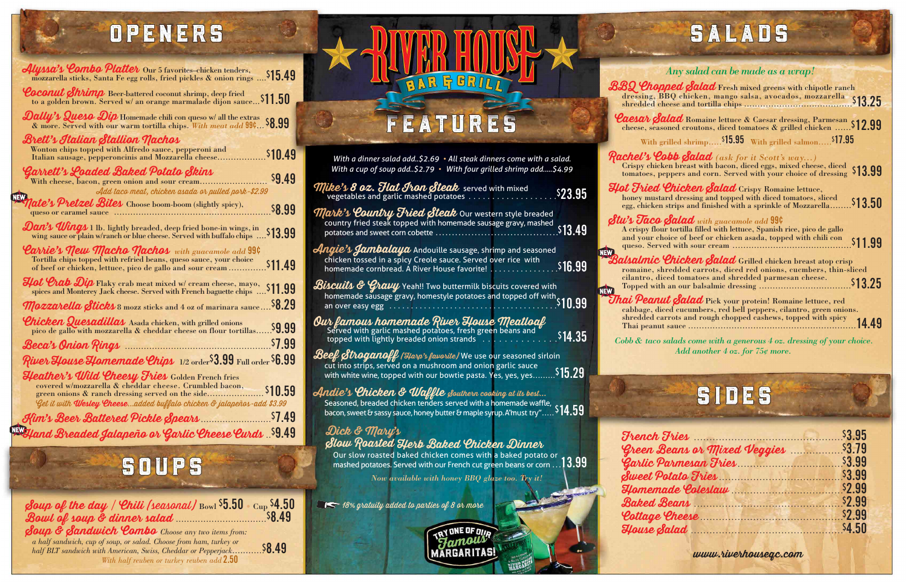**Soup of the day / Chili (seasonal)** Bowl **\$5.50** • Cup **\$4.50 Bowl of soup & dinner salad** .................................**\$8.49**

**Soup & Sandwich Combo** *Choose any two items from: a half sandwich, cup of soup, or salad. Choose from ham, turkey or half BLT sandwich with American, Swiss, Cheddar or Pepperjack*............**\$8.49** *With half reuben or turkey reuben add* **2.50**

## FEATURES

RAR & BRILI

### OPENERS

| Alyssa's Combo Platter Our 5 favorites-chicken tenders,<br>mozzarella sticks, Santa Fe egg rolls, fried pickles & onion rings  \$15.49                                                                                                                                                                |         |
|-------------------------------------------------------------------------------------------------------------------------------------------------------------------------------------------------------------------------------------------------------------------------------------------------------|---------|
| Coconut Shrimp Beer-battered coconut shrimp, deep fried<br>to a golden brown. Served w/ an orange marmalade dijon sauce \$11.50                                                                                                                                                                       |         |
| <b>Dally's Quesa Dip</b> Homemade chili con queso w/ all the extras<br>or when the extrast Superior of the compared of the extrast the extrast Soft of the extrast Soft and the extrast Soft and the extrast Soft and the extrast Soft and the extra soft and the extra soft and the extra soft and t |         |
| Brett's Italian Stallion Nachos<br>Wonton chips topped with Alfredo sauce, pepperoni and<br>Italian sausage, pepperoncinis and Mozzarella cheese                                                                                                                                                      | \$10.49 |
| 'Garrett's Loaded Baked Potato Skins<br>With cheese, bacon, green onion and sour cream<br>Add taco meat, chicken asada or pulled pork-\$2.99                                                                                                                                                          | \$9.49  |
| <i>late's Pretzel Bites</i> Choose boom-boom (slightly spicy),                                                                                                                                                                                                                                        | \$8.99  |
| Dan's Wings 1 lb. lightly breaded, deep fried bone-in wings, in<br>wing sauce or plain w/ranch or blue cheese. Served with buffalo chips  \$13.99                                                                                                                                                     |         |
| <b>Carrie's New Macho Nachos</b> with guacamole add 99¢<br>Tortilla chips topped with refried beans, queso sauce, your choice                                                                                                                                                                         |         |
| Hot Crab Dip Flaky crab meat mixed w/ cream cheese, mayo,<br>spices and Monterey Jack cheese. Served with French baguette chips  \$11.99                                                                                                                                                              |         |
| <b><i>Mozzarella Sticks</i></b> 8 mozz sticks and 4 oz of marinara sauce 58.29                                                                                                                                                                                                                        |         |
| <i>Chicken Quesadillas</i> Asada chicken, with grilled onions<br>pico de gallo with mozzarella & cheddar cheese on flour tortillas 9.99                                                                                                                                                               |         |
|                                                                                                                                                                                                                                                                                                       | \$7.99  |
| River House Homemade Chips 1/2 order \$3.99 Full order \$6.99                                                                                                                                                                                                                                         |         |
| <b>Heather's Wild Cheesy Fries</b> Golden French fries<br>covered w/mozzarella & cheddar cheese. Crumbled bacon,<br>green onions & ranch dressing served on the side                                                                                                                                  | \$10.59 |
| Get it with <b>Wesley Cheese</b> added buffalo chicken & jalapeños-add \$3.99                                                                                                                                                                                                                         |         |
| Kim's Beer Battered Pickle Spears<br>.                                                                                                                                                                                                                                                                | \$7.49  |
| Hand Breaded Jalapeño or Garlic Cheese Curds S9.49                                                                                                                                                                                                                                                    |         |

### **SOUPS**

**Balsalmic** romaine, shi

**Thai Peanu** 

 $$ **Green B**  $\mathcal G$ arlic Pi  $\mathcal{S} \text{weet} \ \mathcal{P} \text{d}$  $H$ *omema*  $\mathcal{B}$ aked  $\mathcal{B}$  $\mathcal{C}ottage$  $House <sub>8</sub>$ 

### SALADS

| With a dinner salad add\$2.69 $\cdot$ All steak dinners come with a salad.<br>With a cup of soup add\$2.79 • With four grilled shrimp add\$4.99                                                                                                                                                                                                                                                                                                                                                                                                  | $\pmb{\mathcal{R}}$ |
|--------------------------------------------------------------------------------------------------------------------------------------------------------------------------------------------------------------------------------------------------------------------------------------------------------------------------------------------------------------------------------------------------------------------------------------------------------------------------------------------------------------------------------------------------|---------------------|
| <b>Mike's 8 oz. Flat Iron Steak</b> served with mixed vegetables and garlic mashed potatoes<br>\$23.95                                                                                                                                                                                                                                                                                                                                                                                                                                           | Я                   |
| <b>Mark's Country Fried Steak</b> Our western style breaded<br>country fried steak topped with homemade sausage gravy, mashed<br>\$13.49<br>potatoes and sweet corn cobette.                                                                                                                                                                                                                                                                                                                                                                     | S                   |
| $\mathcal{A}$ n $g$ i $e$ 's $\mathcal{A}$ ambalaya Andouille sausage, shrimp and seasoned<br>chicken tossed in a spicy Creole sauce. Served over rice with<br>\$16.99<br>homemade cornbread. A River House favorite!                                                                                                                                                                                                                                                                                                                            | <b>NEW</b>          |
| ${\mathcal B}$ is $c$ uits & ${\mathcal G}$ ravy Yeah!! Two buttermilk biscuits covered with<br><b>ISCILITS &amp; Gylling</b> ream: Two buttermin can<br>homemade sausage gravy, homestyle potatoes and topped off with S10.99<br>an over easy egg                                                                                                                                                                                                                                                                                               | <b>NEW</b>          |
| Our famous homemade River House Meatloaf<br>\$14.35<br>topped with lightly breaded onion strands                                                                                                                                                                                                                                                                                                                                                                                                                                                 |                     |
| $\mathscr{B}\hspace{-1pt}\mathit{ee}\hspace{-1pt}/\mathit{f}$ for $\mathscr{B}\hspace{-1pt}\mathit{to}\hspace{-1pt}\mathit{g}$ and $\mathscr{B}\hspace{-1pt}\mathit{f}$ and $\mathscr{B}\hspace{-1pt}\mathit{f}$ and $\mathscr{B}\hspace{-1pt}\mathit{f}$ and $\mathscr{B}\hspace{-1pt}\mathit{f}$ and $\mathscr{B}\hspace{-1pt}\mathit{f}$ and $\mathscr{B}\hspace{-1pt}\mathit{f}$ and $\mathscr{B$<br>cut into strips, served on a mushroom and onion garlic sauce<br>\$15.29<br>with white wine, topped with our bowtie pasta. Yes, yes, yes |                     |
| <b>Andie's Chicken &amp; Waffle <sub>S</sub>outhern cooking at its best</b><br>Seasoned, breaded chicken tenders served with a homemade waffle, $\frac{1}{2}$ , $\frac{1}{4.59}$ bacon, sweet & sassy sauce, honey butter & maple syrup. A must try" $\frac{1}{4.59}$                                                                                                                                                                                                                                                                            |                     |
| Dick & Mary's<br>Slow Roasted Herb Baked Chicken Dinner<br>Our slow roasted baked chicken comes with a baked potato or<br>13.99<br>mashed potatoes. Served with our French cut green beans or corn<br>Now available with honey BBQ glaze too. Try it!                                                                                                                                                                                                                                                                                            |                     |
| $\blacksquare$ 18% gratuity added to parties of 8 or more<br>Y ONE OF OUR                                                                                                                                                                                                                                                                                                                                                                                                                                                                        |                     |

**www.riverhouseqc.com**

### *Any salad can be made as a wrap!*

| BBQ Chopped Salad Fresh mixed greens with chipotle ranch<br>dressing, BBQ chicken, mango salsa, avocados, mozzarella \$13.25                                                                                              |         |
|---------------------------------------------------------------------------------------------------------------------------------------------------------------------------------------------------------------------------|---------|
| <b>Caesar Salad</b> Romaine lettuce & Caesar dressing, Parmesan \$12.99<br>With grilled shrimp <sup>\$15.95</sup> With grilled salmon <sup>\$17.95</sup>                                                                  |         |
| <b>Rachel's Cobb Salad</b> (ask for it Scott's way)<br>Crispy chicken breast with bacon, diced eggs, mixed cheese, diced<br>tomatoes, peppers and corn. Served with your choice of dressing \$13.99                       |         |
| Hot Fried Chicken Salad Crispy Romaine lettuce,<br>honey mustard dressing and topped with diced tomatoes, sliced<br>egg, chicken strips and finished with a sprinkle of Mozzarella \$13.50                                |         |
| $\mathcal{S} \mathcal{t} \mathcal{u}$ 's Taco Salad with guacamole add 99¢<br>A crispy flour tortilla filled with lettuce, Spanish rice, pico de gallo<br>and your choice of beef or chicken asada, topped with chili con | \$11.99 |
| Balsalmic Chicken Salad Grilled chicken breast atop crisp<br>romaine, shredded carrots, diced red onions, cucmbers, thin-sliced<br>cilantro, diced tomatoes and shredded parmesan cheese.                                 |         |
| Thai Peanut Salad Pick your protein! Romaine lettuce, red<br>cabbage, diced cucumbers, red bell peppers, cilantro, green onions.<br>shredded carrots and rough chopped cashews, topped with spicy                         | 14.49   |

*Cobb & taco salads come with a generous 4 oz. dressing of your choice. Add another 4 oz. for 75¢ more.*

# SIDES

| <u>Iries S3.95</u>    |  |
|-----------------------|--|
|                       |  |
|                       |  |
| tato Fries Maria 1999 |  |
|                       |  |
| eans S2.99            |  |
| Pheese S2.99          |  |
| $u$ ad $\sim$ 54.50   |  |
|                       |  |